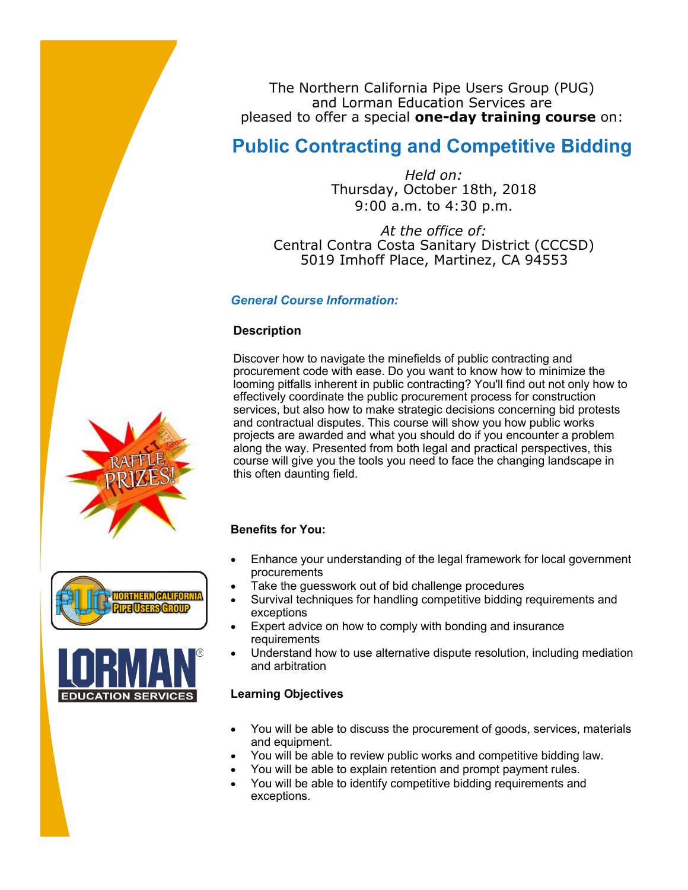The Northern California Pipe Users Group (PUG) and Lorman Education Services are pleased to offer a special **one-day training course** on:

## **Public Contracting and Competitive Bidding**

*Held on:* Thursday, October 18th, 2018 9:00 a.m. to 4:30 p.m.

*At the office of:* Central Contra Costa Sanitary District (CCCSD) 5019 Imhoff Place, Martinez, CA 94553

## *General Course Information:*

## **Description**

Discover how to navigate the minefields of public contracting and procurement code with ease. Do you want to know how to minimize the looming pitfalls inherent in public contracting? You'll find out not only how to effectively coordinate the public procurement process for construction services, but also how to make strategic decisions concerning bid protests and contractual disputes. This course will show you how public works projects are awarded and what you should do if you encounter a problem along the way. Presented from both legal and practical perspectives, this course will give you the tools you need to face the changing landscape in this often daunting field.

#### **Benefits for You:**

- Enhance your understanding of the legal framework for local government procurements
- Take the guesswork out of bid challenge procedures
- Survival techniques for handling competitive bidding requirements and exceptions
- Expert advice on how to comply with bonding and insurance requirements
- Understand how to use alternative dispute resolution, including mediation and arbitration

#### **Learning Objectives**

- You will be able to discuss the procurement of goods, services, materials and equipment.
- You will be able to review public works and competitive bidding law.
- You will be able to explain retention and prompt payment rules.
- You will be able to identify competitive bidding requirements and exceptions.





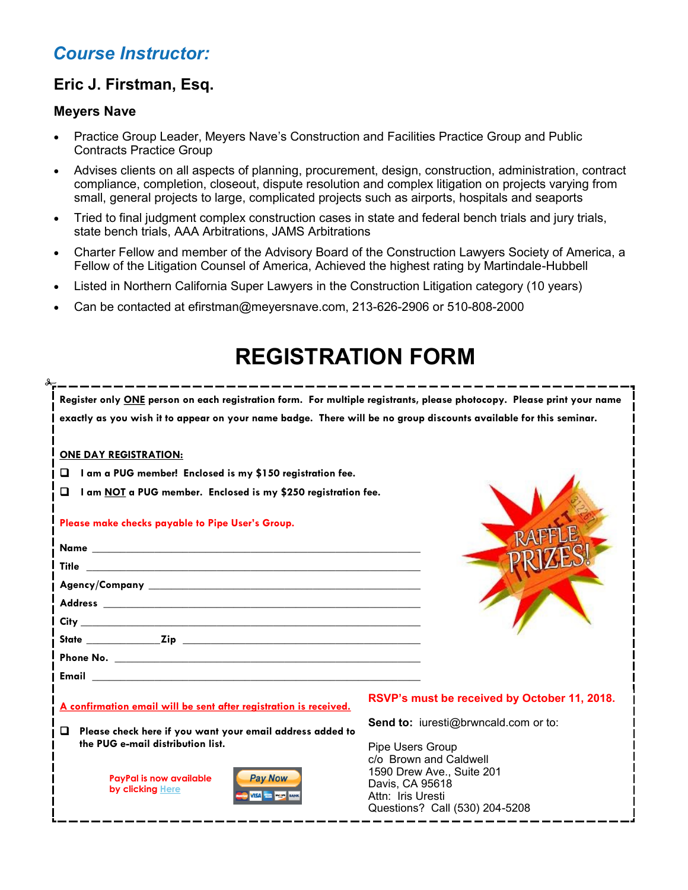## *Course Instructor:*

## **Eric J. Firstman, Esq.**

### **Meyers Nave**

- Practice Group Leader, Meyers Nave's Construction and Facilities Practice Group and Public Contracts Practice Group
- Advises clients on all aspects of planning, procurement, design, construction, administration, contract compliance, completion, closeout, dispute resolution and complex litigation on projects varying from small, general projects to large, complicated projects such as airports, hospitals and seaports
- Tried to final judgment complex construction cases in state and federal bench trials and jury trials, state bench trials, AAA Arbitrations, JAMS Arbitrations
- Charter Fellow and member of the Advisory Board of the Construction Lawyers Society of America, a Fellow of the Litigation Counsel of America, Achieved the highest rating by Martindale-Hubbell
- Listed in Northern California Super Lawyers in the Construction Litigation category (10 years)
- Can be contacted at efirstman@meyersnave.com, 213-626-2906 or 510-808-2000

# **REGISTRATION FORM**

| Register only ONE person on each registration form. For multiple registrants, please photocopy. Please print your name |                                              |  |  |  |
|------------------------------------------------------------------------------------------------------------------------|----------------------------------------------|--|--|--|
| exactly as you wish it to appear on your name badge. There will be no group discounts available for this seminar.      |                                              |  |  |  |
|                                                                                                                        |                                              |  |  |  |
| <b>ONE DAY REGISTRATION:</b>                                                                                           |                                              |  |  |  |
| I am a PUG member! Enclosed is my \$150 registration fee.<br>□                                                         |                                              |  |  |  |
|                                                                                                                        |                                              |  |  |  |
| О<br>I am NOT a PUG member. Enclosed is my \$250 registration fee.                                                     |                                              |  |  |  |
|                                                                                                                        |                                              |  |  |  |
| Please make checks payable to Pipe User's Group.                                                                       |                                              |  |  |  |
|                                                                                                                        |                                              |  |  |  |
|                                                                                                                        |                                              |  |  |  |
| Title                                                                                                                  |                                              |  |  |  |
|                                                                                                                        |                                              |  |  |  |
|                                                                                                                        |                                              |  |  |  |
|                                                                                                                        |                                              |  |  |  |
|                                                                                                                        |                                              |  |  |  |
|                                                                                                                        |                                              |  |  |  |
|                                                                                                                        |                                              |  |  |  |
| A confirmation email will be sent after registration is received.                                                      | RSVP's must be received by October 11, 2018. |  |  |  |
|                                                                                                                        | <b>Send to:</b> iuresti@brwncald.com or to:  |  |  |  |
| Please check here if you want your email address added to<br>o                                                         |                                              |  |  |  |
| the PUG e-mail distribution list.                                                                                      | Pipe Users Group                             |  |  |  |
|                                                                                                                        | c/o Brown and Caldwell                       |  |  |  |
| <b>Pay Now</b><br><b>PayPal is now available</b>                                                                       | 1590 Drew Ave., Suite 201                    |  |  |  |
| by clicking Here                                                                                                       | Davis, CA 95618<br>Attn: Iris Uresti         |  |  |  |
|                                                                                                                        | Questions? Call (530) 204-5208               |  |  |  |
|                                                                                                                        |                                              |  |  |  |